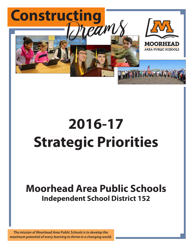

# **2016-17 Strategic Priorities**

# **Moorhead Area Public Schools Independent School District 152**

*The mission of Moorhead Area Public Schools is to develop the maximum potential of every learning to thrive in a changing world.*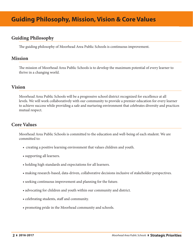# **Guiding Philosophy**

The guiding philosophy of Moorhead Area Public Schools is continuous improvement.

## **Mission**

The mission of Moorhead Area Public Schools is to develop the maximum potential of every learner to thrive in a changing world.

# **Vision**

Moorhead Area Public Schools will be a progressive school district recognized for excellence at all levels. We will work collaboratively with our community to provide a premier education for every learner to achieve success while providing a safe and nurturing environment that celebrates diversity and practices mutual respect.

# **Core Values**

Moorhead Area Public Schools is committed to the education and well-being of each student. We are committed to:

- creating a positive learning environment that values children and youth.
- supporting all learners.
- holding high standards and expectations for all learners.
- making research-based, data-driven, collaborative decisions inclusive of stakeholder perspectives.
- seeking continuous improvement and planning for the future.
- advocating for children and youth within our community and district.
- celebrating students, staff and community.
- promoting pride in the Moorhead community and schools.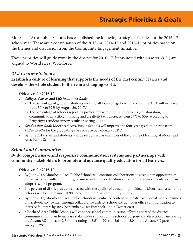Moorhead Area Public Schools has established the following strategic priorities for the 2016-17 school year. These are a continuation of the 2013-14, 2014-15 and 2015-16 priorities based on the themes and discussion from the Community Engagement Initiative.

These priorities will guide work in the district for 2016-17. Items noted with an asterisk (\*) are aligned to World's Best Workforce.

# *21st Century Schools:*

# **Establish a culture of learning that supports the needs of the 21st century learner and develops the whole student to thrive in a changing world.**

#### **Objectives for 2016-17**

- *• College, Career and Life Readiness Goals:*
	- a) The percentage of grade 11 students meeting all four college benchmarks on the ACT will increase from 30% to 32% by August 30, 2017.\*
	- b) The percentage of schools reporting proficiency with 21st Century Skills (collaboration, communication, critical thinking and creativity) will increase from 17% to 50% according to BrightBytes student survey results in spring 2017.\*
- *• Graduation Goal:* Moorhead Area Public Schools will improve the four-year graduation rate from 75.7% to 80% for the graduating class of 2016 by February 2017.\*
- • By June 2017, staff and students will be recognized as examples of the culture of learning at Moorhead Area Public Schools.

# *School and Community:*

# **Build comprehensive and responsive communication systems and partnerships with community stakeholders to promote and advance quality education for all learners.**

#### **Objectives for 2016-17**

- • By June 2017, Moorhead Area Public Schools will continue collaborations to strengthen opportunities for partnerships with community, business and higher education and explore the implementation of an adopt-a-school program.
- The percent of district residents pleased with the quality of education provided by Moorhead Area Public Schools will be maintained at 90 percent on the 2020 community survey.
- • By June 2017, Moorhead Area Public Schools will enhance content on the district's social media channels of Facebook and Twitter through collaborative district, school and activities office communication to increase followers by 10% (September 2016: Facebook 1,551; Twitter 880).
- Moorhead Area Public Schools will enhance school communication efforts as part of the district communications plan to increase stakeholder support of the schools' purpose and direction by increasing the AdvancED Indicator 2.5 from a rating of 3.51 in 2016 to 3.6 out of 5.0 on the AdvancED parent survey in 2018.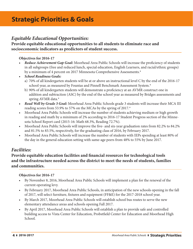# *Equitable Educational Opportunities:*

# **Provide equitable educational opportunities to all students to eliminate race and socioeconomic indicators as predictors of student success.**

#### **Objectives for 2016-17**

- *• Reduce Achievement Gap Goal:* Moorhead Area Public Schools will increase the proficiency of students in all subgroups (free and reduced lunch, special education, English Learners, and racial/ethnic groups) by a minimum of 4 percent on 2017 Minnesota Comprehensive Assessments.\*
- *• School Readiness Goals:*
	- a) 70% of all kindergarten students will be at or above an instructional level C by the end of the 2016-17 school year, as measured by Fountas and Pinnell Benchmark Assessment System.\*
	- b) 90% of all kindergarten students will demonstrate a proficiency at an AVMR construct one in addition and subtraction (ASC) by the end of the school year as measured by Bridges assessments and spring AVMR data.\*
- *• Read Well by Grade 3 Goal:* Moorhead Area Public Schools grade 3 students will increase their MCA III reading scores from 53.9% to 57% on the MCAs by the spring of 2017.\*
- Moorhead Area Public Schools will increase the number of students achieving medium or high growth in reading and math by a minimum of 2% according to 2016-17 Student Progress section of the Minnesota School Report card (2015-16: Math 68.3%, Reading 72.7%).
- • Moorhead Area Public Schools will improve the five- and six-year graduation rates from 82.2% to 84.2% and 81.5% to 83.5%, respectively, for the graduating class of 2016, by February 2017.
- Moorhead Area Public Schools will increase the number of students with IEPs spending at least 80% of the day in the general education setting with same-age peers from 48% to 55% by June 2017.

# *Facilities:*

# **Provide equitable education facilities and financial resources for technological tools and the infrastructure needed across the district to meet the needs of students, families and communities.**

#### **Objectives for 2016-17**

- • By November 8, 2016, Moorhead Area Public Schools will implement a plan for the renewal of the current operating levy.
- • By February 2017, Moorhead Area Public Schools, in anticipation of the new schools opening in the fall of 2017, will select furniture, fixtures and equipment (FF&E) for the 2017-2018 school year.
- By March 2017, Moorhead Area Public Schools will establish school bus routes to serve the new elementary attendance areas and schools opening Fall 2017.
- • By April 2017, Moorhead Area Public Schools will establish a plan to provide safe and controlled building access to Vista Center for Education, Probstfield Center for Education and Moorhead High School.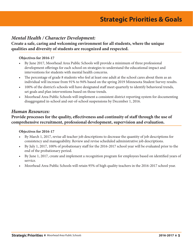# *Mental Health / Character Development:*

**Create a safe, caring and welcoming environment for all students, where the unique qualities and diversity of students are recognized and respected.** 

#### **Objectives for 2016-17**

- • By June 2017, Moorhead Area Public Schools will provide a minimum of three professional development offerings for each school on strategies to understand the educational impact and interventions for students with mental health concerns.
- The percentage of grade 8 students who feel at least one adult at the school cares about them as an individual will increase from 91% to 94% based on the spring 2019 Minnesota Student Survey results.
- 100% of the district's schools will have designated staff meet quarterly to identify behavioral trends, set goals and plan interventions based on those trends.
- Moorhead Area Public Schools will implement a consistent district reporting system for documenting disaggregated in-school and out-of-school suspensions by December 1, 2016.

## *Human Resources:*

# **Provide processes for the quality, effectiveness and continuity of staff through the use of comprehensive recruitment, professional development, supervision and evaluation.**

#### **Objectives for 2016-17**

- By March 1, 2017, revise all teacher job descriptions to decrease the quantity of job descriptions for consistency and manageability. Review and revise scheduled administrative job descriptions.
- • By July 1, 2017, 100% of probationary staff for the 2016-2017 school year will be evaluated prior to the end of the probationary period.
- • By June 1, 2017, create and implement a recognition program for employees based on identified years of service.
- Moorhead Area Public Schools will retain 95% of high quality teachers in the 2016-2017 school year.